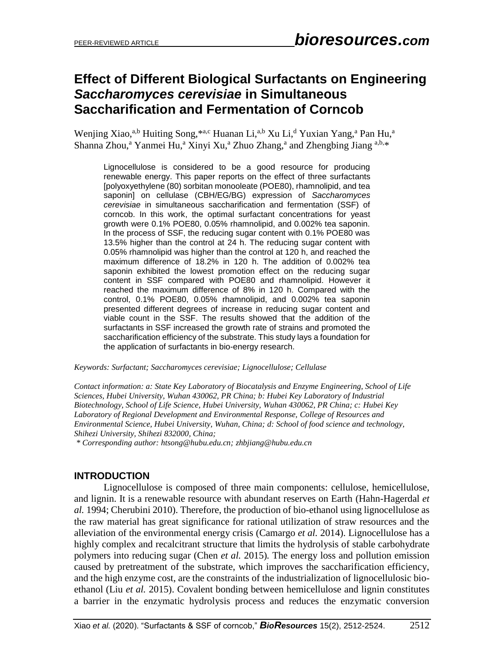# **Effect of Different Biological Surfactants on Engineering**  *Saccharomyces cerevisiae* **in Simultaneous Saccharification and Fermentation of Corncob**

Wenjing Xiao,<sup>a,b</sup> Huiting Song,<sup>\*a,c</sup> Huanan Li,<sup>a,b</sup> Xu Li,<sup>d</sup> Yuxian Yang,<sup>a</sup> Pan Hu,<sup>a</sup> Shanna Zhou,<sup>a</sup> Yanmei Hu,<sup>a</sup> Xinyi Xu,<sup>a</sup> Zhuo Zhang,<sup>a</sup> and Zhengbing Jiang <sup>a,b,\*</sup>

Lignocellulose is considered to be a good resource for producing renewable energy. This paper reports on the effect of three surfactants [polyoxyethylene (80) sorbitan monooleate (POE80), rhamnolipid, and tea saponin] on cellulase (CBH/EG/BG) expression of *Saccharomyces cerevisiae* in simultaneous saccharification and fermentation (SSF) of corncob. In this work, the optimal surfactant concentrations for yeast growth were 0.1% POE80, 0.05% rhamnolipid, and 0.002% tea saponin. In the process of SSF, the reducing sugar content with 0.1% POE80 was 13.5% higher than the control at 24 h. The reducing sugar content with 0.05% rhamnolipid was higher than the control at 120 h, and reached the maximum difference of 18.2% in 120 h. The addition of 0.002% tea saponin exhibited the lowest promotion effect on the reducing sugar content in SSF compared with POE80 and rhamnolipid. However it reached the maximum difference of 8% in 120 h. Compared with the control, 0.1% POE80, 0.05% rhamnolipid, and 0.002% tea saponin presented different degrees of increase in reducing sugar content and viable count in the SSF. The results showed that the addition of the surfactants in SSF increased the growth rate of strains and promoted the saccharification efficiency of the substrate. This study lays a foundation for the application of surfactants in bio-energy research.

*Keywords: Surfactant; Saccharomyces cerevisiae; Lignocellulose; Cellulase* 

*Contact information: a: State Key Laboratory of Biocatalysis and Enzyme Engineering, School of Life Sciences, Hubei University, Wuhan 430062, PR China; b: Hubei Key Laboratory of Industrial Biotechnology, School of Life Science, Hubei University, Wuhan 430062, PR China; c: Hubei Key Laboratory of Regional Development and Environmental Response, College of Resources and Environmental Science, Hubei University, Wuhan, China; d: School of food science and technology, Shihezi University, Shihezi 832000, China;*

*\* Corresponding author: [htsong@hubu.edu.cn;](mailto:htsong@hubu.edu.cn;) zhbjiang@hubu.edu.cn*

# **INTRODUCTION**

Lignocellulose is composed of three main components: cellulose, hemicellulose, and lignin. It is a renewable resource with abundant reserves on Earth (Hahn-Hagerdal *et al.* 1994; Cherubini 2010). Therefore, the production of bio-ethanol using lignocellulose as the raw material has great significance for rational utilization of straw resources and the alleviation of the environmental energy crisis (Camargo *et al.* 2014). Lignocellulose has a highly complex and recalcitrant structure that limits the hydrolysis of stable carbohydrate polymers into reducing sugar (Chen *et al.* 2015)*.* The energy loss and pollution emission caused by pretreatment of the substrate, which improves the saccharification efficiency, and the high enzyme cost, are the constraints of the industrialization of lignocellulosic bioethanol (Liu *et al.* 2015). Covalent bonding between hemicellulose and lignin constitutes a barrier in the enzymatic hydrolysis process and reduces the enzymatic conversion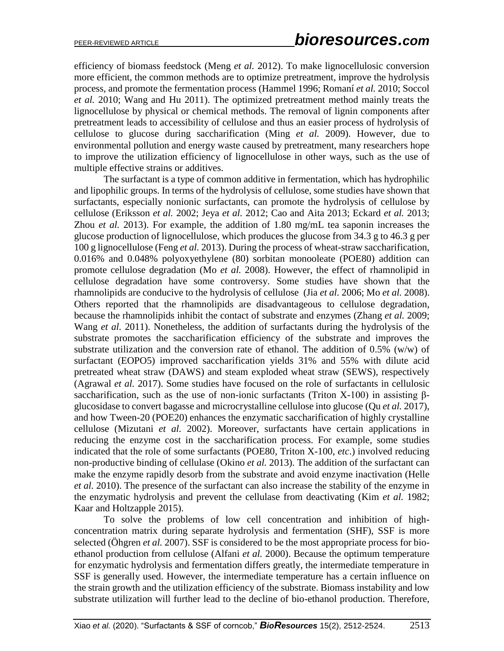efficiency of biomass feedstock (Meng *et al.* 2012). To make lignocellulosic conversion more efficient, the common methods are to optimize pretreatment, improve the hydrolysis process, and promote the fermentation process (Hammel 1996; Romaní *et al.* 2010; Soccol *et al.* 2010; Wang and Hu 2011). The optimized pretreatment method mainly treats the lignocellulose by physical or chemical methods. The removal of lignin components after pretreatment leads to accessibility of cellulose and thus an easier process of hydrolysis of cellulose to glucose during saccharification (Ming *et al.* 2009). However, due to environmental pollution and energy waste caused by pretreatment, many researchers hope to improve the utilization efficiency of lignocellulose in other ways, such as the use of multiple effective strains or additives.

The surfactant is a type of common additive in fermentation, which has hydrophilic and lipophilic groups. In terms of the hydrolysis of cellulose, some studies have shown that surfactants, especially nonionic surfactants, can promote the hydrolysis of cellulose by cellulose (Eriksson *et al.* 2002; Jeya *et al.* 2012; Cao and Aita 2013; Eckard *et al.* 2013; Zhou *et al.* 2013). For example, the addition of 1.80 mg/mL tea saponin increases the glucose production of lignocellulose, which produces the glucose from 34.3 g to 46.3 g per 100 g lignocellulose (Feng *et al.* 2013). During the process of wheat-straw saccharification, 0.016% and 0.048% polyoxyethylene (80) sorbitan monooleate (POE80) addition can promote cellulose degradation (Mo *et al.* 2008). However, the effect of rhamnolipid in cellulose degradation have some controversy. Some studies have shown that the rhamnolipids are conducive to the hydrolysis of cellulose (Jia *et al.* 2006; Mo *et al.* 2008). Others reported that the rhamnolipids are disadvantageous to cellulose degradation, because the rhamnolipids inhibit the contact of substrate and enzymes (Zhang *et al.* 2009; Wang *et al.* 2011). Nonetheless, the addition of surfactants during the hydrolysis of the substrate promotes the saccharification efficiency of the substrate and improves the substrate utilization and the conversion rate of ethanol. The addition of  $0.5\%$  (w/w) of surfactant (EOPO5) improved saccharification yields 31% and 55% with dilute acid pretreated wheat straw (DAWS) and steam exploded wheat straw (SEWS), respectively (Agrawal *et al.* 2017). Some studies have focused on the role of surfactants in cellulosic saccharification, such as the use of non-ionic surfactants (Triton X-100) in assisting  $\beta$ glucosidase to convert bagasse and microcrystalline cellulose into glucose (Qu *et al.* 2017), and how Tween-20 (POE20) enhances the enzymatic saccharification of highly crystalline cellulose (Mizutani *et al.* 2002). Moreover, surfactants have certain applications in reducing the enzyme cost in the saccharification process. For example, some studies indicated that the role of some surfactants (POE80, Triton X-100, *etc*.) involved reducing non-productive binding of cellulase (Okino *et al.* 2013). The addition of the surfactant can make the enzyme rapidly desorb from the substrate and avoid enzyme inactivation (Helle *et al.* 2010). The presence of the surfactant can also increase the stability of the enzyme in the enzymatic hydrolysis and prevent the cellulase from deactivating (Kim *et al.* 1982; Kaar and Holtzapple 2015).

To solve the problems of low cell concentration and inhibition of highconcentration matrix during separate hydrolysis and fermentation (SHF), SSF is more selected (Öhgren *et al.* 2007). SSF is considered to be the most appropriate process for bioethanol production from cellulose (Alfani *et al.* 2000). Because the optimum temperature for enzymatic hydrolysis and fermentation differs greatly, the intermediate temperature in SSF is generally used. However, the intermediate temperature has a certain influence on the strain growth and the utilization efficiency of the substrate. Biomass instability and low substrate utilization will further lead to the decline of bio-ethanol production. Therefore,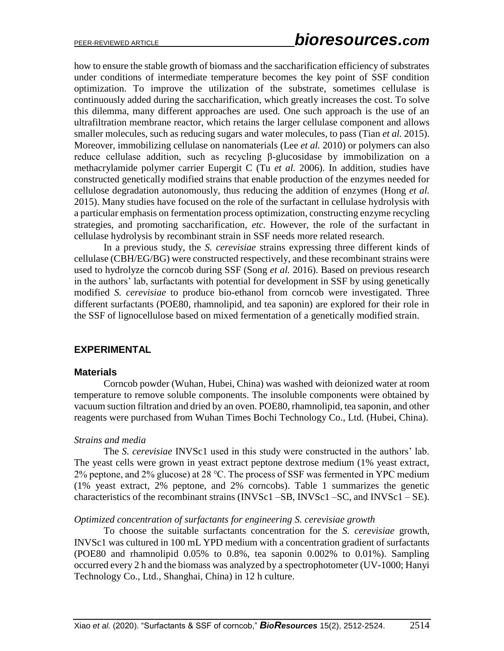how to ensure the stable growth of biomass and the saccharification efficiency of substrates under conditions of intermediate temperature becomes the key point of SSF condition optimization. To improve the utilization of the substrate, sometimes cellulase is continuously added during the saccharification, which greatly increases the cost. To solve this dilemma, many different approaches are used. One such approach is the use of an ultrafiltration membrane reactor, which retains the larger cellulase component and allows smaller molecules, such as reducing sugars and water molecules, to pass (Tian *et al.* 2015). Moreover, immobilizing cellulase on nanomaterials (Lee *et al.* 2010) or polymers can also reduce cellulase addition, such as recycling β-glucosidase by immobilization on a methacrylamide polymer carrier Eupergit C (Tu *et al.* 2006). In addition, studies have constructed genetically modified strains that enable production of the enzymes needed for cellulose degradation autonomously, thus reducing the addition of enzymes (Hong *et al.* 2015). Many studies have focused on the role of the surfactant in cellulase hydrolysis with a particular emphasis on fermentation process optimization, constructing enzyme recycling strategies, and promoting saccharification, *etc.* However, the role of the surfactant in cellulase hydrolysis by recombinant strain in SSF needs more related research.

In a previous study, the *S. cerevisiae* strains expressing three different kinds of cellulase (CBH/EG/BG) were constructed respectively, and these recombinant strains were used to hydrolyze the corncob during SSF (Song *et al.* 2016). Based on previous research in the authors' lab, surfactants with potential for development in SSF by using genetically modified *S. cerevisiae* to produce bio-ethanol from corncob were investigated. Three different surfactants (POE80, rhamnolipid, and tea saponin) are explored for their role in the SSF of lignocellulose based on mixed fermentation of a genetically modified strain.

### **EXPERIMENTAL**

#### **Materials**

Corncob powder (Wuhan, Hubei, China) was washed with deionized water at room temperature to remove soluble components. The insoluble components were obtained by vacuum suction filtration and dried by an oven. POE80, rhamnolipid, tea saponin, and other reagents were purchased from Wuhan Times Bochi Technology Co., Ltd. (Hubei, China).

#### *Strains and media*

The *S. cerevisiae* INVSc1 used in this study were constructed in the authors' lab. The yeast cells were grown in yeast extract peptone dextrose medium (1% yeast extract, 2% peptone, and 2% glucose) at 28 ℃. The process of SSF was fermented in YPC medium (1% yeast extract, 2% peptone, and 2% corncobs). Table 1 summarizes the genetic characteristics of the recombinant strains (INVSc1 –SB, INVSc1 –SC, and INVSc1 – SE).

#### *Optimized concentration of surfactants for engineering S. cerevisiae growth*

To choose the suitable surfactants concentration for the *S. cerevisiae* growth, INVSc1 was cultured in 100 mL YPD medium with a concentration gradient of surfactants (POE80 and rhamnolipid 0.05% to 0.8%, tea saponin 0.002% to 0.01%). Sampling occurred every 2 h and the biomass was analyzed by a spectrophotometer (UV-1000; Hanyi Technology Co., Ltd., Shanghai, China) in 12 h culture.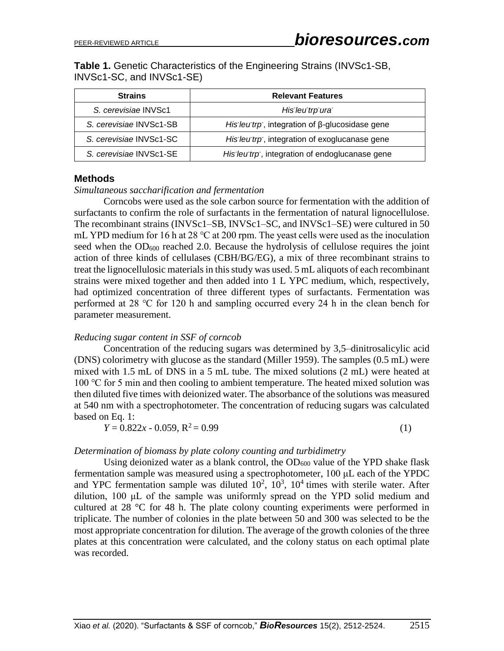**Table 1.** Genetic Characteristics of the Engineering Strains (INVSc1-SB, INVSc1-SC, and INVSc1-SE)

| <b>Strains</b>          | <b>Relevant Features</b>                              |  |  |  |
|-------------------------|-------------------------------------------------------|--|--|--|
| S. cerevisiae INVSc1    | His leu trp ura                                       |  |  |  |
| S. cerevisiae INVSc1-SB | His leu trp, integration of $\beta$ -glucosidase gene |  |  |  |
| S. cerevisiae INVSc1-SC | His leu trp, integration of exoglucanase gene         |  |  |  |
| S. cerevisiae INVSc1-SE | His leu trp, integration of endoglucanase gene        |  |  |  |

#### **Methods**

*Simultaneous saccharification and fermentation* 

Corncobs were used as the sole carbon source for fermentation with the addition of surfactants to confirm the role of surfactants in the fermentation of natural lignocellulose. The recombinant strains (INVSc1–SB, INVSc1–SC, and INVSc1–SE) were cultured in 50 mL YPD medium for 16 h at 28 ℃ at 200 rpm. The yeast cells were used as the inoculation seed when the OD<sub>600</sub> reached 2.0. Because the hydrolysis of cellulose requires the joint action of three kinds of cellulases (CBH/BG/EG), a mix of three recombinant strains to treat the lignocellulosic materials in this study was used. 5 mL aliquots of each recombinant strains were mixed together and then added into 1 L YPC medium, which, respectively, had optimized concentration of three different types of surfactants. Fermentation was performed at 28 ℃ for 120 h and sampling occurred every 24 h in the clean bench for parameter measurement.

#### *Reducing sugar content in SSF of corncob*

Concentration of the reducing sugars was determined by 3,5–dinitrosalicylic acid (DNS) colorimetry with glucose as the standard (Miller 1959). The samples (0.5 mL) were mixed with 1.5 mL of DNS in a 5 mL tube. The mixed solutions (2 mL) were heated at 100 ℃ for 5 min and then cooling to ambient temperature. The heated mixed solution was then diluted five times with deionized water. The absorbance of the solutions was measured at 540 nm with a spectrophotometer. The concentration of reducing sugars was calculated based on Eq. 1:

$$
Y = 0.822x - 0.059, R^2 = 0.99\tag{1}
$$

#### *Determination of biomass by plate colony counting and turbidimetry*

Using deionized water as a blank control, the  $OD_{600}$  value of the YPD shake flask fermentation sample was measured using a spectrophotometer, 100 μL each of the YPDC and YPC fermentation sample was diluted  $10^2$ ,  $10^3$ ,  $10^4$  times with sterile water. After dilution, 100 μL of the sample was uniformly spread on the YPD solid medium and cultured at 28 °C for 48 h. The plate colony counting experiments were performed in triplicate. The number of colonies in the plate between 50 and 300 was selected to be the most appropriate concentration for dilution. The average of the growth colonies of the three plates at this concentration were calculated, and the colony status on each optimal plate was recorded.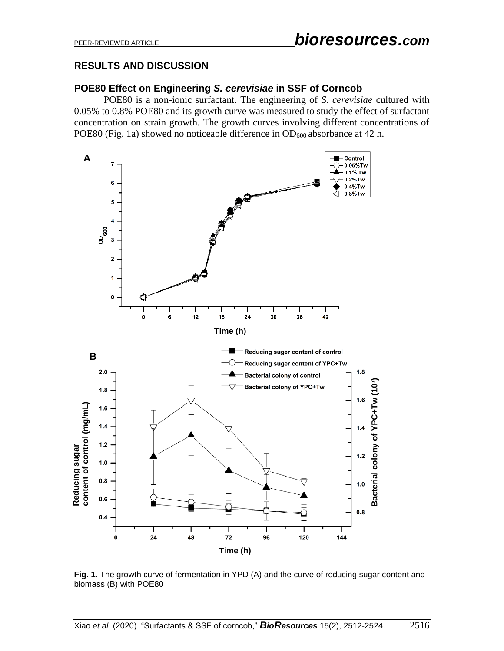# **RESULTS AND DISCUSSION**

### **POE80 Effect on Engineering** *S. cerevisiae* **in SSF of Corncob**

POE80 is a non-ionic surfactant. The engineering of *S. cerevisiae* cultured with 0.05% to 0.8% POE80 and its growth curve was measured to study the effect of surfactant concentration on strain growth. The growth curves involving different concentrations of POE80 (Fig. 1a) showed no noticeable difference in  $OD_{600}$  absorbance at 42 h.



**Fig. 1.** The growth curve of fermentation in YPD (A) and the curve of reducing sugar content and biomass (B) with POE80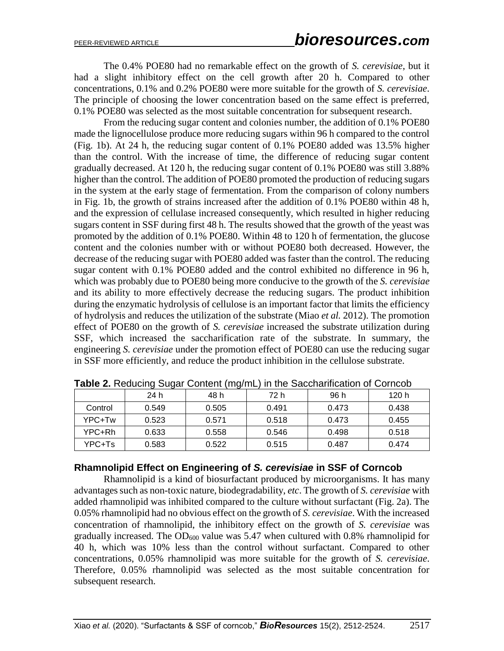The 0.4% POE80 had no remarkable effect on the growth of *S. cerevisiae*, but it had a slight inhibitory effect on the cell growth after 20 h. Compared to other concentrations, 0.1% and 0.2% POE80 were more suitable for the growth of *S. cerevisiae*. The principle of choosing the lower concentration based on the same effect is preferred, 0.1% POE80 was selected as the most suitable concentration for subsequent research.

From the reducing sugar content and colonies number, the addition of 0.1% POE80 made the lignocellulose produce more reducing sugars within 96 h compared to the control (Fig. 1b). At 24 h, the reducing sugar content of 0.1% POE80 added was 13.5% higher than the control. With the increase of time, the difference of reducing sugar content gradually decreased. At 120 h, the reducing sugar content of 0.1% POE80 was still 3.88% higher than the control. The addition of POE80 promoted the production of reducing sugars in the system at the early stage of fermentation. From the comparison of colony numbers in Fig. 1b, the growth of strains increased after the addition of 0.1% POE80 within 48 h, and the expression of cellulase increased consequently, which resulted in higher reducing sugars content in SSF during first 48 h. The results showed that the growth of the yeast was promoted by the addition of 0.1% POE80. Within 48 to 120 h of fermentation, the glucose content and the colonies number with or without POE80 both decreased. However, the decrease of the reducing sugar with POE80 added was faster than the control. The reducing sugar content with 0.1% POE80 added and the control exhibited no difference in 96 h, which was probably due to POE80 being more conducive to the growth of the *S. cerevisiae* and its ability to more effectively decrease the reducing sugars. The product inhibition during the enzymatic hydrolysis of cellulose is an important factor that limits the efficiency of hydrolysis and reduces the utilization of the substrate (Miao *et al.* 2012). The promotion effect of POE80 on the growth of *S. cerevisiae* increased the substrate utilization during SSF, which increased the saccharification rate of the substrate. In summary, the engineering *S. cerevisiae* under the promotion effect of POE80 can use the reducing sugar in SSF more efficiently, and reduce the product inhibition in the cellulose substrate.

|         | 24 h  | 48 h  | 72 h  | 96 h  | 120 h |
|---------|-------|-------|-------|-------|-------|
| Control | 0.549 | 0.505 | 0.491 | 0.473 | 0.438 |
| YPC+Tw  | 0.523 | 0.571 | 0.518 | 0.473 | 0.455 |
| YPC+Rh  | 0.633 | 0.558 | 0.546 | 0.498 | 0.518 |
| YPC+Ts  | 0.583 | 0.522 | 0.515 | 0.487 | 0.474 |

**Table 2.** Reducing Sugar Content (mg/mL) in the Saccharification of Corncob

### **Rhamnolipid Effect on Engineering of** *S. cerevisiae* **in SSF of Corncob**

Rhamnolipid is a kind of biosurfactant produced by microorganisms. It has many advantages such as non-toxic nature, biodegradability, *etc*. The growth of *S. cerevisiae* with added rhamnolipid was inhibited compared to the culture without surfactant (Fig. 2a). The 0.05% rhamnolipid had no obvious effect on the growth of *S. cerevisiae*. With the increased concentration of rhamnolipid, the inhibitory effect on the growth of *S. cerevisiae* was gradually increased. The  $OD_{600}$  value was 5.47 when cultured with 0.8% rhamnolipid for 40 h, which was 10% less than the control without surfactant. Compared to other concentrations, 0.05% rhamnolipid was more suitable for the growth of *S. cerevisiae*. Therefore, 0.05% rhamnolipid was selected as the most suitable concentration for subsequent research.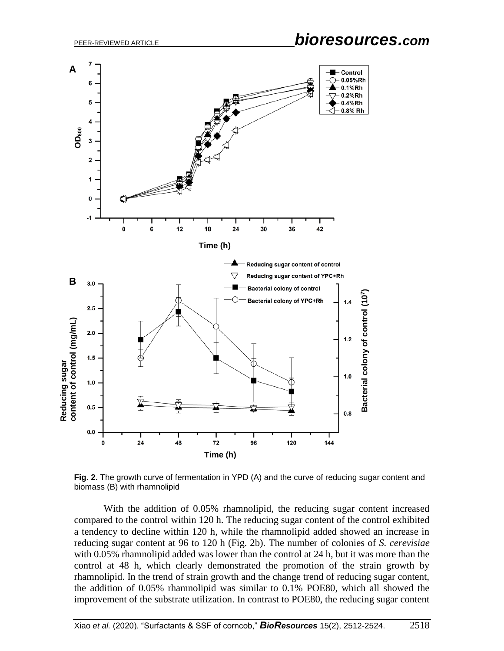

**Fig. 2.** The growth curve of fermentation in YPD (A) and the curve of reducing sugar content and biomass (B) with rhamnolipid

With the addition of 0.05% rhamnolipid, the reducing sugar content increased compared to the control within 120 h. The reducing sugar content of the control exhibited a tendency to decline within 120 h, while the rhamnolipid added showed an increase in reducing sugar content at 96 to 120 h (Fig. 2b). The number of colonies of *S. cerevisiae*  with 0.05% rhamnolipid added was lower than the control at 24 h, but it was more than the control at 48 h, which clearly demonstrated the promotion of the strain growth by rhamnolipid. In the trend of strain growth and the change trend of reducing sugar content, the addition of 0.05% rhamnolipid was similar to 0.1% POE80, which all showed the improvement of the substrate utilization. In contrast to POE80, the reducing sugar content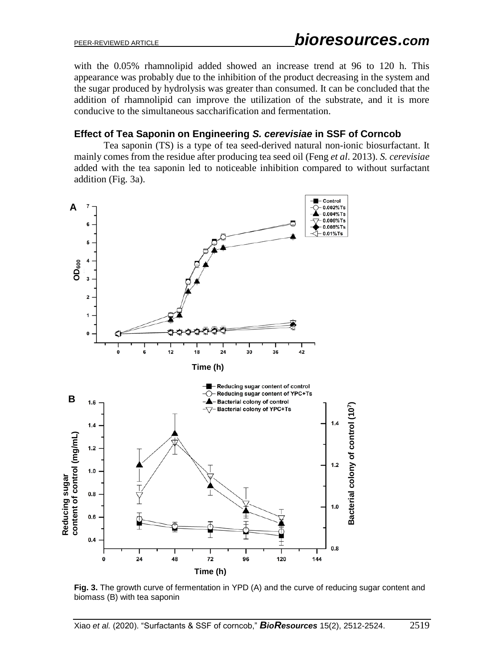with the 0.05% rhamnolipid added showed an increase trend at 96 to 120 h. This appearance was probably due to the inhibition of the product decreasing in the system and the sugar produced by hydrolysis was greater than consumed. It can be concluded that the addition of rhamnolipid can improve the utilization of the substrate, and it is more conducive to the simultaneous saccharification and fermentation.

## **Effect of Tea Saponin on Engineering** *S. cerevisiae* **in SSF of Corncob**

Tea saponin (TS) is a type of tea seed-derived natural non-ionic biosurfactant. It mainly comes from the residue after producing tea seed oil (Feng *et al*. 2013). *S. cerevisiae* added with the tea saponin led to noticeable inhibition compared to without surfactant addition (Fig. 3a).



**Fig. 3.** The growth curve of fermentation in YPD (A) and the curve of reducing sugar content and biomass (B) with tea saponin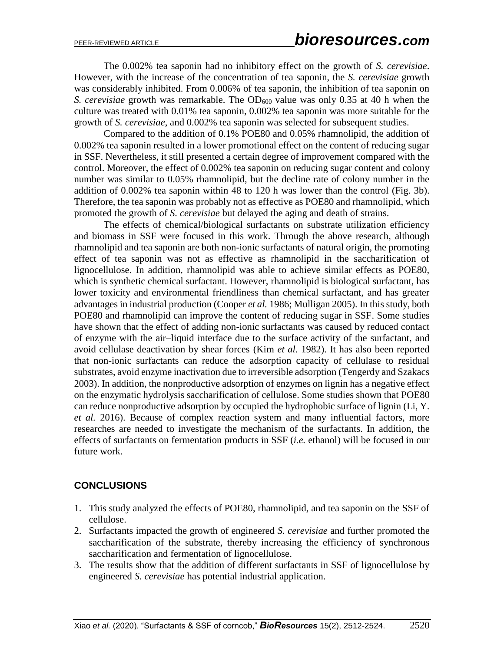The 0.002% tea saponin had no inhibitory effect on the growth of *S. cerevisiae*. However, with the increase of the concentration of tea saponin, the *S. cerevisiae* growth was considerably inhibited. From 0.006% of tea saponin, the inhibition of tea saponin on *S. cerevisiae* growth was remarkable. The OD<sub>600</sub> value was only 0.35 at 40 h when the culture was treated with 0.01% tea saponin, 0.002% tea saponin was more suitable for the growth of *S. cerevisiae*, and 0.002% tea saponin was selected for subsequent studies.

Compared to the addition of 0.1% POE80 and 0.05% rhamnolipid, the addition of 0.002% tea saponin resulted in a lower promotional effect on the content of reducing sugar in SSF. Nevertheless, it still presented a certain degree of improvement compared with the control. Moreover, the effect of 0.002% tea saponin on reducing sugar content and colony number was similar to 0.05% rhamnolipid, but the decline rate of colony number in the addition of 0.002% tea saponin within 48 to 120 h was lower than the control (Fig. 3b). Therefore, the tea saponin was probably not as effective as POE80 and rhamnolipid, which promoted the growth of *S. cerevisiae* but delayed the aging and death of strains.

The effects of chemical/biological surfactants on substrate utilization efficiency and biomass in SSF were focused in this work. Through the above research, although rhamnolipid and tea saponin are both non-ionic surfactants of natural origin, the promoting effect of tea saponin was not as effective as rhamnolipid in the saccharification of lignocellulose. In addition, rhamnolipid was able to achieve similar effects as POE80, which is synthetic chemical surfactant. However, rhamnolipid is biological surfactant, has lower toxicity and environmental friendliness than chemical surfactant, and has greater advantages in industrial production (Cooper *et al.* 1986; Mulligan 2005). In this study, both POE80 and rhamnolipid can improve the content of reducing sugar in SSF. Some studies have shown that the effect of adding non-ionic surfactants was caused by reduced contact of enzyme with the air–liquid interface due to the surface activity of the surfactant, and avoid cellulase deactivation by shear forces (Kim *et al.* 1982). It has also been reported that non-ionic surfactants can reduce the adsorption capacity of cellulase to residual substrates, avoid enzyme inactivation due to irreversible adsorption (Tengerdy and Szakacs 2003). In addition, the nonproductive adsorption of enzymes on lignin has a negative effect on the enzymatic hydrolysis saccharification of cellulose. Some studies shown that POE80 can reduce nonproductive adsorption by occupied the hydrophobic surface of lignin (Li, Y. *et al.* 2016). Because of complex reaction system and many influential factors, more researches are needed to investigate the mechanism of the surfactants. In addition, the effects of surfactants on fermentation products in SSF (*i.e.* ethanol) will be focused in our future work.

# **CONCLUSIONS**

- 1. This study analyzed the effects of POE80, rhamnolipid, and tea saponin on the SSF of cellulose.
- 2. Surfactants impacted the growth of engineered *S. cerevisiae* and further promoted the saccharification of the substrate, thereby increasing the efficiency of synchronous saccharification and fermentation of lignocellulose.
- 3. The results show that the addition of different surfactants in SSF of lignocellulose by engineered *S. cerevisiae* has potential industrial application.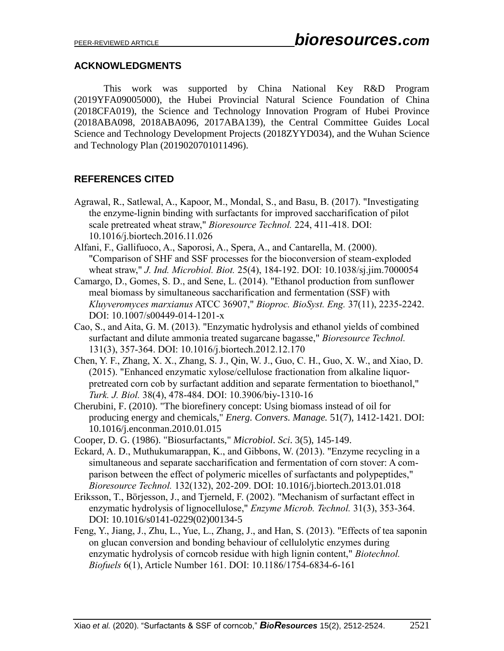### **ACKNOWLEDGMENTS**

This work was supported by China National Key R&D Program (2019YFA09005000), the Hubei Provincial Natural Science Foundation of China (2018CFA019), the Science and Technology Innovation Program of Hubei Province (2018ABA098, 2018ABA096, 2017ABA139), the Central Committee Guides Local Science and Technology Development Projects (2018ZYYD034), and the Wuhan Science and Technology Plan (2019020701011496).

# **REFERENCES CITED**

- Agrawal, R., Satlewal, A., Kapoor, M., Mondal, S., and Basu, B. (2017). "Investigating the enzyme-lignin binding with surfactants for improved saccharification of pilot scale pretreated wheat straw," *Bioresource Technol.* 224, 411-418. DOI: 10.1016/j.biortech.2016.11.026
- Alfani, F., Gallifuoco, A., Saporosi, A., Spera, A., and Cantarella, M. (2000). "Comparison of SHF and SSF processes for the bioconversion of steam-exploded wheat straw," *J. Ind. Microbiol. Biot.* 25(4), 184-192. DOI: 10.1038/sj.jim.7000054
- Camargo, D., Gomes, S. D., and Sene, L. (2014). "Ethanol production from sunflower meal biomass by simultaneous saccharification and fermentation (SSF) with *Kluyveromyces marxianus* ATCC 36907," *Bioproc. BioSyst. Eng.* 37(11), 2235-2242. DOI: 10.1007/s00449-014-1201-x
- Cao, S., and Aita, G. M. (2013). "Enzymatic hydrolysis and ethanol yields of combined surfactant and dilute ammonia treated sugarcane bagasse," *Bioresource Technol.*  131(3), 357-364. DOI: 10.1016/j.biortech.2012.12.170
- Chen, Y. F., Zhang, X. X., Zhang, S. J., Qin, W. J., Guo, C. H., Guo, X. W., and Xiao, D. (2015). "Enhanced enzymatic xylose/cellulose fractionation from alkaline liquorpretreated corn cob by surfactant addition and separate fermentation to bioethanol," *Turk. J. Biol.* 38(4), 478-484. DOI: 10.3906/biy-1310-16
- Cherubini, F. (2010). "The biorefinery concept: Using biomass instead of oil for producing energy and chemicals," *Energ. Convers. Manage.* 51(7), 1412-1421. DOI: 10.1016/j.enconman.2010.01.015
- Cooper, D. G. (1986). "Biosurfactants," *Microbiol. Sci*. 3(5), 145-149.
- Eckard, A. D., Muthukumarappan, K., and Gibbons, W. (2013). "Enzyme recycling in a simultaneous and separate saccharification and fermentation of corn stover: A comparison between the effect of polymeric micelles of surfactants and polypeptides," *Bioresource Technol.* 132(132), 202-209. DOI: 10.1016/j.biortech.2013.01.018
- Eriksson, T., Börjesson, J., and Tjerneld, F. (2002). "Mechanism of surfactant effect in enzymatic hydrolysis of lignocellulose," *Enzyme Microb. Technol.* 31(3), 353-364. DOI: 10.1016/s0141-0229(02)00134-5
- Feng, Y., Jiang, J., Zhu, L., Yue, L., Zhang, J., and Han, S. (2013). "Effects of tea saponin on glucan conversion and bonding behaviour of cellulolytic enzymes during enzymatic hydrolysis of corncob residue with high lignin content," *Biotechnol. Biofuels* 6(1), Article Number 161. DOI: 10.1186/1754-6834-6-161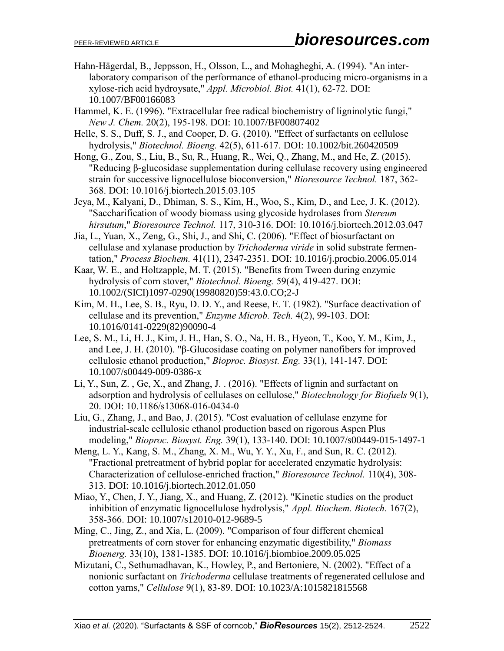- Hahn-Hägerdal, B., Jeppsson, H., Olsson, L., and Mohagheghi, A. (1994). "An interlaboratory comparison of the performance of ethanol-producing micro-organisms in a xylose-rich acid hydroysate," *Appl. Microbiol. Biot.* 41(1), 62-72. DOI: 10.1007/BF00166083
- Hammel, K. E. (1996). "Extracellular free radical biochemistry of ligninolytic fungi," *New J. Chem.* 20(2), 195-198. DOI: 10.1007/BF00807402
- Helle, S. S., Duff, S. J., and Cooper, D. G. (2010). "Effect of surfactants on cellulose hydrolysis," *Biotechnol. Bioeng.* 42(5), 611-617. DOI: 10.1002/bit.260420509
- Hong, G., Zou, S., Liu, B., Su, R., Huang, R., Wei, Q., Zhang, M., and He, Z. (2015). "Reducing β-glucosidase supplementation during cellulase recovery using engineered strain for successive lignocellulose bioconversion," *Bioresource Technol.* 187, 362- 368. DOI: 10.1016/j.biortech.2015.03.105
- Jeya, M., Kalyani, D., Dhiman, S. S., Kim, H., Woo, S., Kim, D., and Lee, J. K. (2012). "Saccharification of woody biomass using glycoside hydrolases from *Stereum hirsutum*," *Bioresource Technol.* 117, 310-316. DOI: 10.1016/j.biortech.2012.03.047
- Jia, L., Yuan, X., Zeng, G., Shi, J., and Shi, C. (2006). "Effect of biosurfactant on cellulase and xylanase production by *Trichoderma viride* in solid substrate fermentation," *Process Biochem.* 41(11), 2347-2351. DOI: 10.1016/j.procbio.2006.05.014
- Kaar, W. E., and Holtzapple, M. T. (2015). "Benefits from Tween during enzymic hydrolysis of corn stover," *Biotechnol. Bioeng.* 59(4), 419-427. DOI: 10.1002/(SICI)1097-0290(19980820)59:43.0.CO;2-J
- Kim, M. H., Lee, S. B., Ryu, D. D. Y., and Reese, E. T. (1982). "Surface deactivation of cellulase and its prevention," *Enzyme Microb. Tech.* 4(2), 99-103. DOI: 10.1016/0141-0229(82)90090-4
- Lee, S. M., Li, H. J., Kim, J. H., Han, S. O., Na, H. B., Hyeon, T., Koo, Y. M., Kim, J., and Lee, J. H. (2010). "β-Glucosidase coating on polymer nanofibers for improved cellulosic ethanol production," *Bioproc. Biosyst. Eng.* 33(1), 141-147. DOI: 10.1007/s00449-009-0386-x
- Li, Y., Sun, Z. , Ge, X., and Zhang, J. . (2016). "Effects of lignin and surfactant on adsorption and hydrolysis of cellulases on cellulose," *Biotechnology for Biofuels* 9(1), 20. DOI: 10.1186/s13068-016-0434-0
- Liu, G., Zhang, J., and Bao, J. (2015). "Cost evaluation of cellulase enzyme for industrial-scale cellulosic ethanol production based on rigorous Aspen Plus modeling," *Bioproc. Biosyst. Eng.* 39(1), 133-140. DOI: 10.1007/s00449-015-1497-1
- Meng, L. Y., Kang, S. M., Zhang, X. M., Wu, Y. Y., Xu, F., and Sun, R. C. (2012). "Fractional pretreatment of hybrid poplar for accelerated enzymatic hydrolysis: Characterization of cellulose-enriched fraction," *Bioresource Technol.* 110(4), 308- 313. DOI: 10.1016/j.biortech.2012.01.050
- Miao, Y., Chen, J. Y., Jiang, X., and Huang, Z. (2012). "Kinetic studies on the product inhibition of enzymatic lignocellulose hydrolysis," *Appl. Biochem. Biotech.* 167(2), 358-366. DOI: 10.1007/s12010-012-9689-5
- Ming, C., Jing, Z., and Xia, L. (2009). "Comparison of four different chemical pretreatments of corn stover for enhancing enzymatic digestibility," *Biomass Bioenerg.* 33(10), 1381-1385. DOI: 10.1016/j.biombioe.2009.05.025
- Mizutani, C., Sethumadhavan, K., Howley, P., and Bertoniere, N. (2002). "Effect of a nonionic surfactant on *Trichoderma* cellulase treatments of regenerated cellulose and cotton yarns," *Cellulose* 9(1), 83-89. DOI: 10.1023/A:1015821815568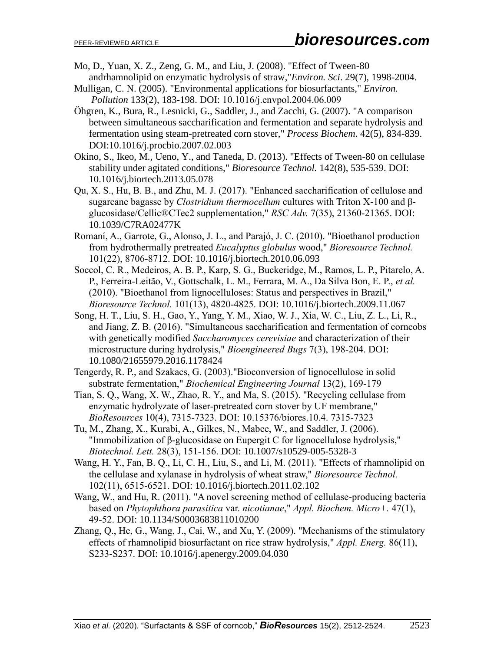- Mo, D., Yuan, X. Z., Zeng, G. M., and Liu, J. (2008). "Effect of Tween-80 andrhamnolipid on enzymatic hydrolysis of straw,"*Environ. Sci*. 29(7), 1998-2004.
- Mulligan, C. N. (2005). "Environmental applications for biosurfactants," *Environ. Pollution* 133(2), 183-198. DOI: 10.1016/j.envpol.2004.06.009
- Öhgren, K., Bura, R., Lesnicki, G., Saddler, J., and Zacchi, G. (2007). "A comparison between simultaneous saccharification and fermentation and separate hydrolysis and fermentation using steam-pretreated corn stover," *Process Biochem*. 42(5), 834-839. DOI:10.1016/j.procbio.2007.02.003
- Okino, S., Ikeo, M., Ueno, Y., and Taneda, D. (2013). "Effects of Tween-80 on cellulase stability under agitated conditions," *Bioresource Technol.* 142(8), 535-539. DOI: 10.1016/j.biortech.2013.05.078
- Qu, X. S., Hu, B. B., and Zhu, M. J. (2017). "Enhanced saccharification of cellulose and sugarcane bagasse by *Clostridium thermocellum* cultures with Triton X-100 and βglucosidase/Cellic®CTec2 supplementation," *RSC Adv.* 7(35), 21360-21365. DOI: 10.1039/C7RA02477K
- Romaní, A., Garrote, G., Alonso, J. L., and Parajó, J. C. (2010). "Bioethanol production from hydrothermally pretreated *Eucalyptus globulus* wood," *Bioresource Technol.*  101(22), 8706-8712. DOI: 10.1016/j.biortech.2010.06.093
- Soccol, C. R., Medeiros, A. B. P., Karp, S. G., Buckeridge, M., Ramos, L. P., Pitarelo, A. P., Ferreira-Leitão, V., Gottschalk, L. M., Ferrara, M. A., Da Silva Bon, E. P., *et al.*  (2010). "Bioethanol from lignocelluloses: Status and perspectives in Brazil," *Bioresource Technol.* 101(13), 4820-4825. DOI: 10.1016/j.biortech.2009.11.067
- Song, H. T., Liu, S. H., Gao, Y., Yang, Y. M., Xiao, W. J., Xia, W. C., Liu, Z. L., Li, R., and Jiang, Z. B. (2016). "Simultaneous saccharification and fermentation of corncobs with genetically modified *Saccharomyces cerevisiae* and characterization of their microstructure during hydrolysis," *Bioengineered Bugs* 7(3), 198-204. DOI: 10.1080/21655979.2016.1178424
- Tengerdy, R. P., and Szakacs, G. (2003)."Bioconversion of lignocellulose in solid substrate fermentation," *Biochemical Engineering Journal* 13(2), 169-179
- Tian, S. Q., Wang, X. W., Zhao, R. Y., and Ma, S. (2015). "Recycling cellulase from enzymatic hydrolyzate of laser-pretreated corn stover by UF membrane," *BioResources* 10(4), 7315-7323. DOI: 10.15376/biores.10.4. 7315-7323
- Tu, M., Zhang, X., Kurabi, A., Gilkes, N., Mabee, W., and Saddler, J. (2006). "Immobilization of β-glucosidase on Eupergit C for lignocellulose hydrolysis," *Biotechnol. Lett.* 28(3), 151-156. DOI: 10.1007/s10529-005-5328-3
- Wang, H. Y., Fan, B. Q., Li, C. H., Liu, S., and Li, M. (2011). "Effects of rhamnolipid on the cellulase and xylanase in hydrolysis of wheat straw," *Bioresource Technol.*  102(11), 6515-6521. DOI: 10.1016/j.biortech.2011.02.102
- Wang, W., and Hu, R. (2011). "A novel screening method of cellulase-producing bacteria based on *Phytophthora parasitica* var. *nicotianae*," *Appl. Biochem. Micro+.* 47(1), 49-52. DOI: 10.1134/S0003683811010200
- Zhang, Q., He, G., Wang, J., Cai, W., and Xu, Y. (2009). "Mechanisms of the stimulatory effects of rhamnolipid biosurfactant on rice straw hydrolysis," *Appl. Energ.* 86(11), S233-S237. DOI: 10.1016/j.apenergy.2009.04.030